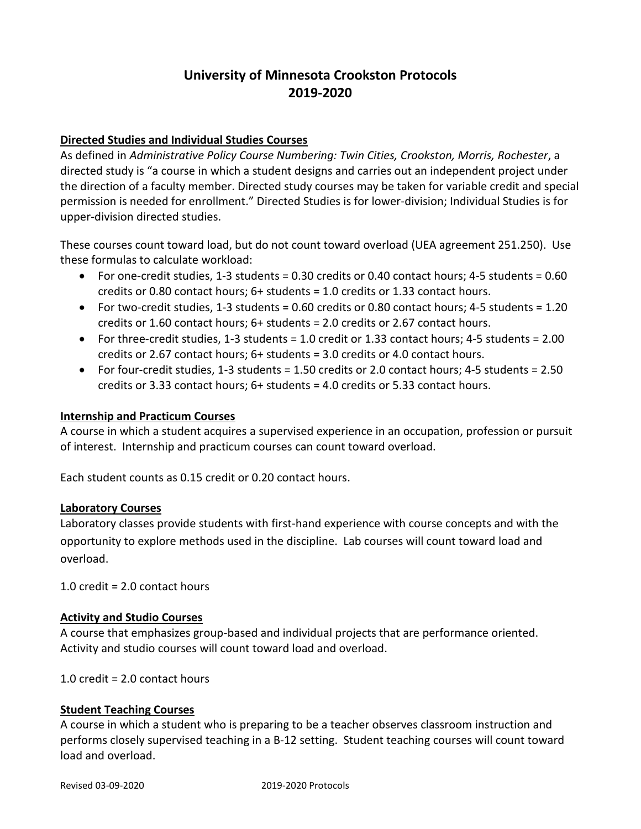# **University of Minnesota Crookston Protocols 2019-2020**

# **Directed Studies and Individual Studies Courses**

As defined in *Administrative Policy Course Numbering: Twin Cities, Crookston, Morris, Rochester*, a directed study is "a course in which a student designs and carries out an independent project under the direction of a faculty member. Directed study courses may be taken for variable credit and special permission is needed for enrollment." Directed Studies is for lower-division; Individual Studies is for upper-division directed studies.

These courses count toward load, but do not count toward overload (UEA agreement 251.250). Use these formulas to calculate workload:

- For one-credit studies, 1-3 students = 0.30 credits or 0.40 contact hours; 4-5 students = 0.60 credits or 0.80 contact hours; 6+ students = 1.0 credits or 1.33 contact hours.
- For two-credit studies, 1-3 students = 0.60 credits or 0.80 contact hours; 4-5 students = 1.20 credits or 1.60 contact hours; 6+ students = 2.0 credits or 2.67 contact hours.
- For three-credit studies, 1-3 students = 1.0 credit or 1.33 contact hours; 4-5 students = 2.00 credits or 2.67 contact hours; 6+ students = 3.0 credits or 4.0 contact hours.
- For four-credit studies, 1-3 students  $= 1.50$  credits or 2.0 contact hours; 4-5 students  $= 2.50$ credits or 3.33 contact hours; 6+ students = 4.0 credits or 5.33 contact hours.

#### **Internship and Practicum Courses**

A course in which a student acquires a supervised experience in an occupation, profession or pursuit of interest. Internship and practicum courses can count toward overload.

Each student counts as 0.15 credit or 0.20 contact hours.

#### **Laboratory Courses**

Laboratory classes provide students with first-hand experience with course concepts and with the opportunity to explore methods used in the discipline. Lab courses will count toward load and overload.

1.0 credit = 2.0 contact hours

## **Activity and Studio Courses**

A course that emphasizes group-based and individual projects that are performance oriented. Activity and studio courses will count toward load and overload.

1.0 credit = 2.0 contact hours

## **Student Teaching Courses**

A course in which a student who is preparing to be a teacher observes classroom instruction and performs closely supervised teaching in a B-12 setting. Student teaching courses will count toward load and overload.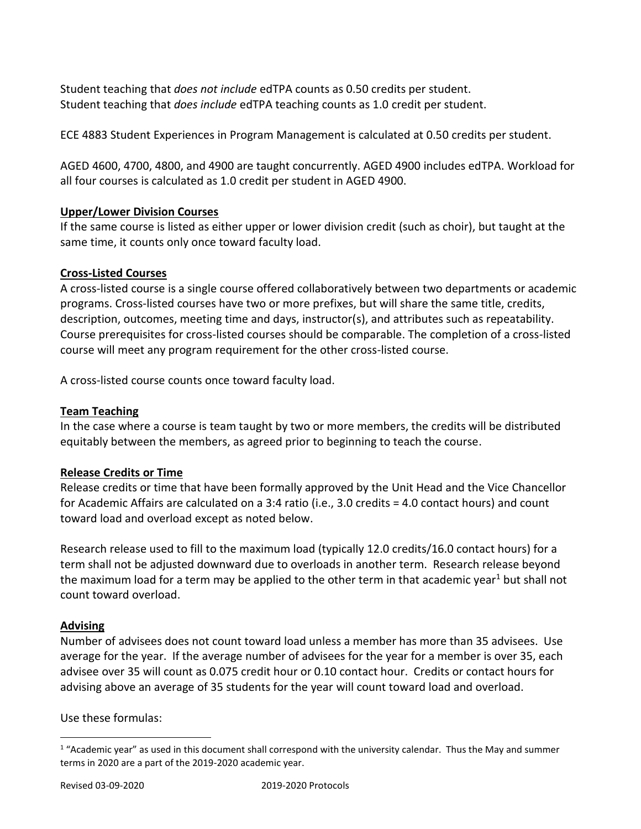Student teaching that *does not include* edTPA counts as 0.50 credits per student. Student teaching that *does include* edTPA teaching counts as 1.0 credit per student.

ECE 4883 Student Experiences in Program Management is calculated at 0.50 credits per student.

AGED 4600, 4700, 4800, and 4900 are taught concurrently. AGED 4900 includes edTPA. Workload for all four courses is calculated as 1.0 credit per student in AGED 4900.

## **Upper/Lower Division Courses**

If the same course is listed as either upper or lower division credit (such as choir), but taught at the same time, it counts only once toward faculty load.

# **Cross-Listed Courses**

A cross-listed course is a single course offered collaboratively between two departments or academic programs. Cross-listed courses have two or more prefixes, but will share the same title, credits, description, outcomes, meeting time and days, instructor(s), and attributes such as repeatability. Course prerequisites for cross-listed courses should be comparable. The completion of a cross-listed course will meet any program requirement for the other cross-listed course.

A cross-listed course counts once toward faculty load.

# **Team Teaching**

In the case where a course is team taught by two or more members, the credits will be distributed equitably between the members, as agreed prior to beginning to teach the course.

## **Release Credits or Time**

Release credits or time that have been formally approved by the Unit Head and the Vice Chancellor for Academic Affairs are calculated on a 3:4 ratio (i.e., 3.0 credits = 4.0 contact hours) and count toward load and overload except as noted below.

Research release used to fill to the maximum load (typically 12.0 credits/16.0 contact hours) for a term shall not be adjusted downward due to overloads in another term. Research release beyond the maximum load for a term may be applied to the other term in that academic year<sup>1</sup> but shall not count toward overload.

# **Advising**

 $\overline{a}$ 

Number of advisees does not count toward load unless a member has more than 35 advisees. Use average for the year. If the average number of advisees for the year for a member is over 35, each advisee over 35 will count as 0.075 credit hour or 0.10 contact hour. Credits or contact hours for advising above an average of 35 students for the year will count toward load and overload.

Use these formulas:

 $1$  "Academic year" as used in this document shall correspond with the university calendar. Thus the May and summer terms in 2020 are a part of the 2019-2020 academic year.